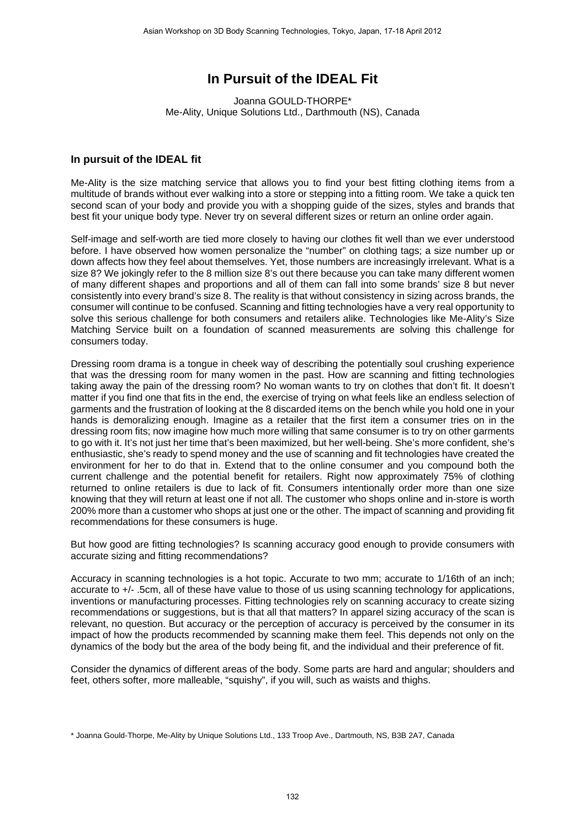## **In Pursuit of the IDEAL Fit**

Joanna GOULD-THORPE\* Me-Ality, Unique Solutions Ltd., Darthmouth (NS), Canada

## **In pursuit of the IDEAL fit**

Me-Ality is the size matching service that allows you to find your best fitting clothing items from a multitude of brands without ever walking into a store or stepping into a fitting room. We take a quick ten second scan of your body and provide you with a shopping guide of the sizes, styles and brands that best fit your unique body type. Never try on several different sizes or return an online order again.

Self-image and self-worth are tied more closely to having our clothes fit well than we ever understood before. I have observed how women personalize the "number" on clothing tags; a size number up or down affects how they feel about themselves. Yet, those numbers are increasingly irrelevant. What is a size 8? We jokingly refer to the 8 million size 8's out there because you can take many different women of many different shapes and proportions and all of them can fall into some brands' size 8 but never consistently into every brand's size 8. The reality is that without consistency in sizing across brands, the consumer will continue to be confused. Scanning and fitting technologies have a very real opportunity to solve this serious challenge for both consumers and retailers alike. Technologies like Me-Ality's Size Matching Service built on a foundation of scanned measurements are solving this challenge for consumers today.

Dressing room drama is a tongue in cheek way of describing the potentially soul crushing experience that was the dressing room for many women in the past. How are scanning and fitting technologies taking away the pain of the dressing room? No woman wants to try on clothes that don't fit. It doesn't matter if you find one that fits in the end, the exercise of trying on what feels like an endless selection of garments and the frustration of looking at the 8 discarded items on the bench while you hold one in your hands is demoralizing enough. Imagine as a retailer that the first item a consumer tries on in the dressing room fits; now imagine how much more willing that same consumer is to try on other garments to go with it. It's not just her time that's been maximized, but her well-being. She's more confident, she's enthusiastic, she's ready to spend money and the use of scanning and fit technologies have created the environment for her to do that in. Extend that to the online consumer and you compound both the current challenge and the potential benefit for retailers. Right now approximately 75% of clothing returned to online retailers is due to lack of fit. Consumers intentionally order more than one size knowing that they will return at least one if not all. The customer who shops online and in-store is worth 200% more than a customer who shops at just one or the other. The impact of scanning and providing fit recommendations for these consumers is huge.

But how good are fitting technologies? Is scanning accuracy good enough to provide consumers with accurate sizing and fitting recommendations?

Accuracy in scanning technologies is a hot topic. Accurate to two mm; accurate to 1/16th of an inch; accurate to +/- .5cm, all of these have value to those of us using scanning technology for applications, inventions or manufacturing processes. Fitting technologies rely on scanning accuracy to create sizing recommendations or suggestions, but is that all that matters? In apparel sizing accuracy of the scan is relevant, no question. But accuracy or the perception of accuracy is perceived by the consumer in its impact of how the products recommended by scanning make them feel. This depends not only on the dynamics of the body but the area of the body being fit, and the individual and their preference of fit.

Consider the dynamics of different areas of the body. Some parts are hard and angular; shoulders and feet, others softer, more malleable, "squishy", if you will, such as waists and thighs.

<sup>\*</sup> Joanna Gould-Thorpe, Me-Ality by Unique Solutions Ltd., 133 Troop Ave., Dartmouth, NS, B3B 2A7, Canada